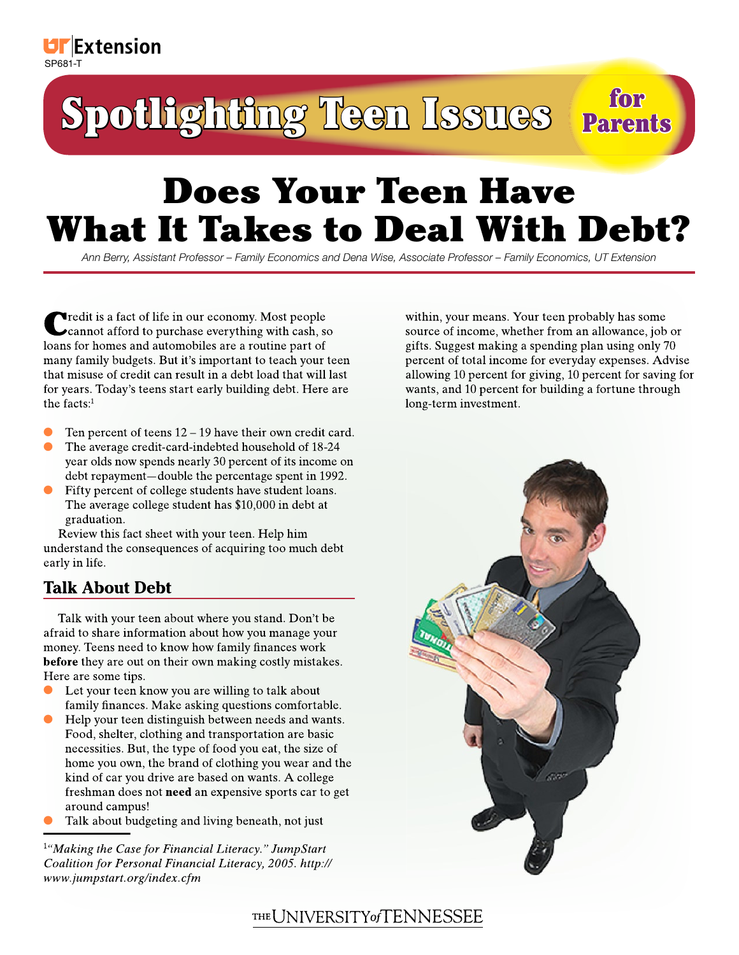# Spotlighting Teen Issues Parents

# Does Your Teen Have What It Takes to Deal With Debt?

*Ann Berry, Assistant Professor – Family Economics and Dena Wise, Associate Professor – Family Economics, UT Extension*

Credit is a fact of life in our economy. Most people cannot afford to purchase everything with cash, so loans for homes and automobiles are a routine part of many family budgets. But it's important to teach your teen that misuse of credit can result in a debt load that will last for years. Today's teens start early building debt. Here are the facts:<sup>1</sup>

- Ten percent of teens 12 19 have their own credit card. ●
- The average credit-card-indebted household of 18-24 year olds now spends nearly 30 percent of its income on debt repayment—double the percentage spent in 1992. ●
- Fifty percent of college students have student loans. The average college student has \$10,000 in debt at graduation. ●

Review this fact sheet with your teen. Help him understand the consequences of acquiring too much debt early in life.

## **Talk About Debt**

Talk with your teen about where you stand. Don't be afraid to share information about how you manage your money. Teens need to know how family finances work **before** they are out on their own making costly mistakes. Here are some tips.

- Let your teen know you are willing to talk about family finances. Make asking questions comfortable. ●
- Help your teen distinguish between needs and wants. Food, shelter, clothing and transportation are basic necessities. But, the type of food you eat, the size of home you own, the brand of clothing you wear and the kind of car you drive are based on wants. A college freshman does not **need** an expensive sports car to get around campus! ●
- Talk about budgeting and living beneath, not just ●

1 *"Making the Case for Financial Literacy." JumpStart Coalition for Personal Financial Literacy, 2005. http:// www.jumpstart.org/index.cfm*

within, your means. Your teen probably has some source of income, whether from an allowance, job or gifts. Suggest making a spending plan using only 70 percent of total income for everyday expenses. Advise allowing 10 percent for giving, 10 percent for saving for wants, and 10 percent for building a fortune through long-term investment.



# THE UNIVERSITY of TENNESSEE